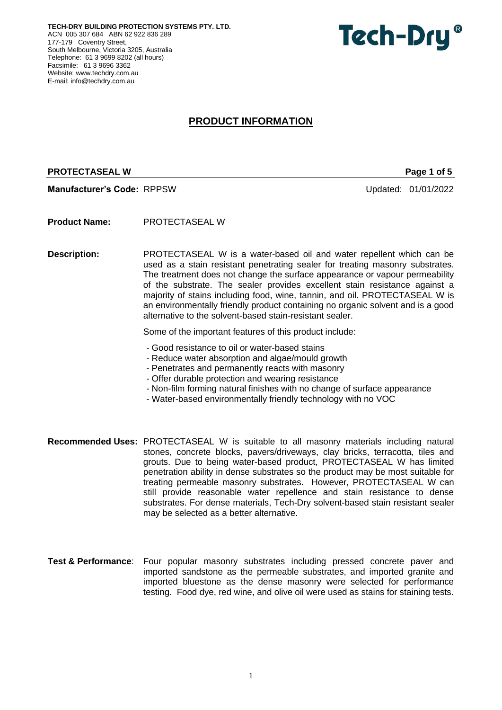**TECH-DRY BUILDING PROTECTION SYSTEMS PTY. LTD.** ACN 005 307 684 ABN 62 922 836 289 177-179 Coventry Street, South Melbourne, Victoria 3205, Australia Telephone: 61 3 9699 8202 (all hours) Facsimile: 61 3 9696 3362 Website: [www.techdry.com.au](http://www.techdry.com.au/) E-mail: [info@techdry.com.au](mailto:info@techdry.com.au)



# **PRODUCT INFORMATION**

## **PROTECTASEAL W PROTECTASEAL W Page 1 of 5**

**Manufacturer's Code:** RPPSW Updated: 01/01/2022

**Product Name:** PROTECTASEAL W

**Description:** PROTECTASEAL W is a water-based oil and water repellent which can be used as a stain resistant penetrating sealer for treating masonry substrates. The treatment does not change the surface appearance or vapour permeability of the substrate. The sealer provides excellent stain resistance against a majority of stains including food, wine, tannin, and oil. PROTECTASEAL W is an environmentally friendly product containing no organic solvent and is a good alternative to the solvent-based stain-resistant sealer.

Some of the important features of this product include:

- Good resistance to oil or water-based stains
- Reduce water absorption and algae/mould growth
- Penetrates and permanently reacts with masonry
- Offer durable protection and wearing resistance
- Non-film forming natural finishes with no change of surface appearance
- Water-based environmentally friendly technology with no VOC
- **Recommended Uses:** PROTECTASEAL W is suitable to all masonry materials including natural stones, concrete blocks, pavers/driveways, clay bricks, terracotta, tiles and grouts. Due to being water-based product, PROTECTASEAL W has limited penetration ability in dense substrates so the product may be most suitable for treating permeable masonry substrates. However, PROTECTASEAL W can still provide reasonable water repellence and stain resistance to dense substrates. For dense materials, Tech-Dry solvent-based stain resistant sealer may be selected as a better alternative.
- **Test & Performance**: Four popular masonry substrates including pressed concrete paver and imported sandstone as the permeable substrates, and imported granite and imported bluestone as the dense masonry were selected for performance testing. Food dye, red wine, and olive oil were used as stains for staining tests.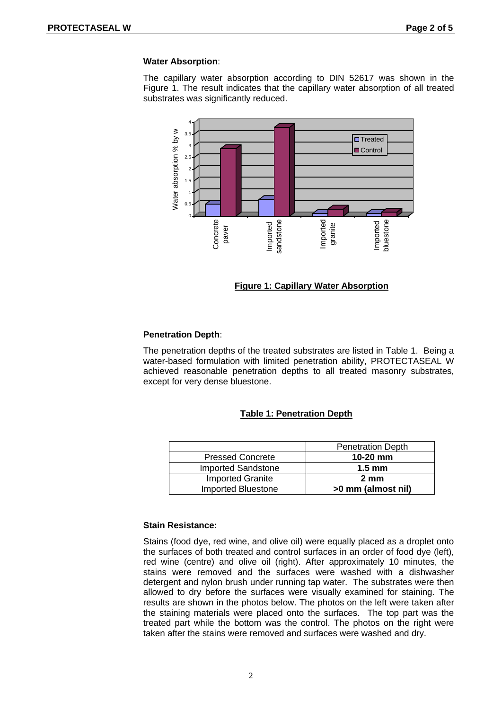#### **Water Absorption**:

The capillary water absorption according to DIN 52617 was shown in the Figure 1. The result indicates that the capillary water absorption of all treated substrates was significantly reduced.



## **Figure 1: Capillary Water Absorption**

#### **Penetration Depth**:

The penetration depths of the treated substrates are listed in Table 1. Being a water-based formulation with limited penetration ability, PROTECTASEAL W achieved reasonable penetration depths to all treated masonry substrates, except for very dense bluestone.

# **Table 1: Penetration Depth**

|                           | <b>Penetration Depth</b> |
|---------------------------|--------------------------|
| <b>Pressed Concrete</b>   | $10-20$ mm               |
| <b>Imported Sandstone</b> | $1.5 \text{ mm}$         |
| <b>Imported Granite</b>   | $2 \text{ mm}$           |
| Imported Bluestone        | >0 mm (almost nil)       |

## **Stain Resistance:**

Stains (food dye, red wine, and olive oil) were equally placed as a droplet onto the surfaces of both treated and control surfaces in an order of food dye (left), red wine (centre) and olive oil (right). After approximately 10 minutes, the stains were removed and the surfaces were washed with a dishwasher detergent and nylon brush under running tap water. The substrates were then allowed to dry before the surfaces were visually examined for staining. The results are shown in the photos below. The photos on the left were taken after the staining materials were placed onto the surfaces. The top part was the treated part while the bottom was the control. The photos on the right were taken after the stains were removed and surfaces were washed and dry.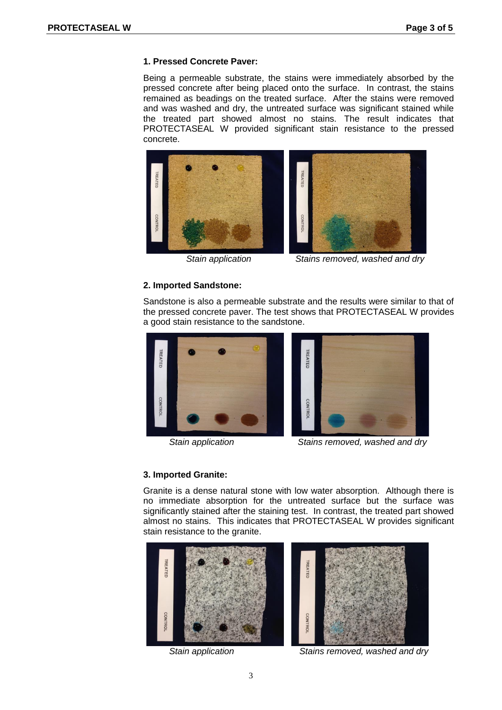# **1. Pressed Concrete Paver:**

Being a permeable substrate, the stains were immediately absorbed by the pressed concrete after being placed onto the surface. In contrast, the stains remained as beadings on the treated surface. After the stains were removed and was washed and dry, the untreated surface was significant stained while the treated part showed almost no stains. The result indicates that PROTECTASEAL W provided significant stain resistance to the pressed concrete.





 *Stain application Stains removed, washed and dry*

# **2. Imported Sandstone:**

Sandstone is also a permeable substrate and the results were similar to that of the pressed concrete paver. The test shows that PROTECTASEAL W provides a good stain resistance to the sandstone.





*Stain application Stains removed, washed and dry*

# **3. Imported Granite:**

Granite is a dense natural stone with low water absorption. Although there is no immediate absorption for the untreated surface but the surface was significantly stained after the staining test. In contrast, the treated part showed almost no stains. This indicates that PROTECTASEAL W provides significant stain resistance to the granite.





*Stain application Stains removed, washed and dry*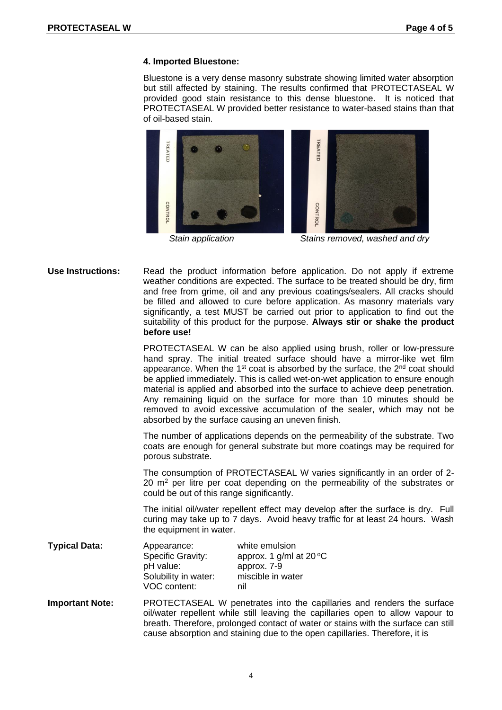## **4. Imported Bluestone:**

Bluestone is a very dense masonry substrate showing limited water absorption but still affected by staining. The results confirmed that PROTECTASEAL W provided good stain resistance to this dense bluestone. It is noticed that PROTECTASEAL W provided better resistance to water-based stains than that of oil-based stain.



**Use Instructions:** Read the product information before application. Do not apply if extreme weather conditions are expected. The surface to be treated should be dry, firm and free from grime, oil and any previous coatings/sealers. All cracks should be filled and allowed to cure before application. As masonry materials vary significantly, a test MUST be carried out prior to application to find out the suitability of this product for the purpose. **Always stir or shake the product before use!**

> PROTECTASEAL W can be also applied using brush, roller or low-pressure hand spray. The initial treated surface should have a mirror-like wet film appearance. When the  $1<sup>st</sup>$  coat is absorbed by the surface, the  $2<sup>nd</sup>$  coat should be applied immediately. This is called wet-on-wet application to ensure enough material is applied and absorbed into the surface to achieve deep penetration. Any remaining liquid on the surface for more than 10 minutes should be removed to avoid excessive accumulation of the sealer, which may not be absorbed by the surface causing an uneven finish.

> The number of applications depends on the permeability of the substrate. Two coats are enough for general substrate but more coatings may be required for porous substrate.

> The consumption of PROTECTASEAL W varies significantly in an order of 2-  $20 \, \text{m}^2$  per litre per coat depending on the permeability of the substrates or could be out of this range significantly.

> The initial oil/water repellent effect may develop after the surface is dry. Full curing may take up to 7 days. Avoid heavy traffic for at least 24 hours. Wash the equipment in water.

| <b>Typical Data:</b> | Appearance:              | white emulsion                   |
|----------------------|--------------------------|----------------------------------|
|                      | <b>Specific Gravity:</b> | approx. 1 g/ml at $20^{\circ}$ C |
|                      | pH value:                | approx. 7-9                      |
|                      | Solubility in water:     | miscible in water                |
|                      | VOC content:             | nil                              |

**Important Note:** PROTECTASEAL W penetrates into the capillaries and renders the surface oil/water repellent while still leaving the capillaries open to allow vapour to breath. Therefore, prolonged contact of water or stains with the surface can still cause absorption and staining due to the open capillaries. Therefore, it is